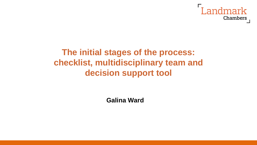

## **The initial stages of the process: checklist, multidisciplinary team and decision support tool**

**Galina Ward**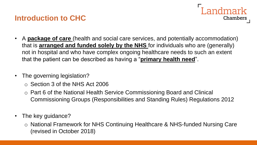#### **Introduction to CHC**



- A **package of care** (health and social care services, and potentially accommodation) that is **arranged and funded solely by the NHS** for individuals who are (generally) not in hospital and who have complex ongoing healthcare needs to such an extent that the patient can be described as having a "**primary health need**".
- The governing legislation?
	- o Section 3 of the NHS Act 2006
	- o Part 6 of the National Health Service Commissioning Board and Clinical Commissioning Groups (Responsibilities and Standing Rules) Regulations 2012
- The key guidance?
	- o National Framework for NHS Continuing Healthcare & NHS-funded Nursing Care (revised in October 2018)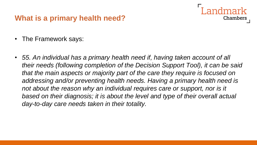#### **What is a primary health need?**

- The Framework says:
- *55. An individual has a primary health need if, having taken account of all their needs (following completion of the Decision Support Tool), it can be said that the main aspects or majority part of the care they require is focused on addressing and/or preventing health needs. Having a primary health need is*  not about the reason why an individual requires care or support, nor is it based on their diagnosis; it is about the level and type of their overall actual *day-to-day care needs taken in their totality.*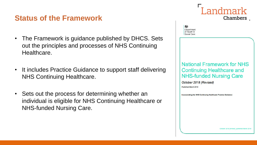#### **Status of the Framework**

- The Framework is guidance published by DHCS. Sets out the principles and processes of NHS Continuing Healthcare.
- It includes Practice Guidance to support staff delivering NHS Continuing Healthcare.
- Sets out the process for determining whether an individual is eligible for NHS Continuing Healthcare or NHS-funded Nursing Care.

嫐 Department of Health & Social Care **National Framework for NHS Continuing Healthcare and NHS-funded Nursing Care** October 2018 (Revised) Published March 2018 **Incorporating the NHS Continuing Healthcare Practice Guidance**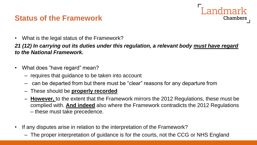#### **Status of the Framework**

• What is the legal status of the Framework?

*21 (12) In carrying out its duties under this regulation, a relevant body must have regard to the National Framework.* 

Landmark

- What does "have regard" mean?
	- requires that guidance to be taken into account
	- can be departed from but there must be "clear" reasons for any departure from
	- These should be **properly recorded**
	- **However,** to the extent that the Framework mirrors the 2012 Regulations, these must be complied with. **And indeed** also where the Framework contradicts the 2012 Regulations – these must take precedence.
- If any disputes arise in relation to the interpretation of the Framework?
	- The proper interpretation of guidance is for the courts, not the CCG or NHS England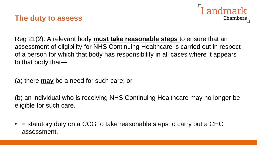#### **The duty to assess**



Reg 21(2): A relevant body **must take reasonable steps** to ensure that an assessment of eligibility for NHS Continuing Healthcare is carried out in respect of a person for which that body has responsibility in all cases where it appears to that body that—

(a) there **may** be a need for such care; or

(b) an individual who is receiving NHS Continuing Healthcare may no longer be eligible for such care.

 $\bullet$  = statutory duty on a CCG to take reasonable steps to carry out a CHC assessment.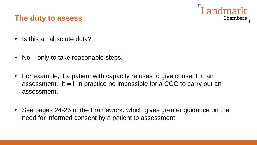

#### **The duty to assess**

- Is this an absolute duty?
- No only to take reasonable steps.
- For example, if a patient with capacity refuses to give consent to an assessment, it will in practice be impossible for a CCG to carry out an assessment.
- See pages 24-25 of the Framework, which gives greater guidance on the need for informed consent by a patient to assessment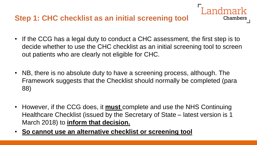#### **Step 1: CHC checklist as an initial screening tool**

• If the CCG has a legal duty to conduct a CHC assessment, the first step is to decide whether to use the CHC checklist as an initial screening tool to screen out patients who are clearly not eligible for CHC.

- NB, there is no absolute duty to have a screening process, although. The Framework suggests that the Checklist should normally be completed (para 88)
- However, if the CCG does, it **must** complete and use the NHS Continuing Healthcare Checklist (issued by the Secretary of State – latest version is 1 March 2018) to **inform that decision.**
- **So cannot use an alternative checklist or screening tool**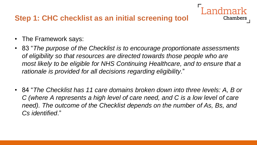### **Step 1: CHC checklist as an initial screening tool**

- The Framework says:
- 83 "*The purpose of the Checklist is to encourage proportionate assessments of eligibility so that resources are directed towards those people who are most likely to be eligible for NHS Continuing Healthcare, and to ensure that a rationale is provided for all decisions regarding eligibility*."

**Chambers** 

• 84 "*The Checklist has 11 care domains broken down into three levels: A, B or C (where A represents a high level of care need, and C is a low level of care need). The outcome of the Checklist depends on the number of As, Bs, and Cs identified*."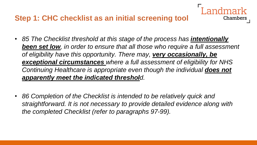#### **Step 1: CHC checklist as an initial screening tool**

• 85 The Checklist threshold at this stage of the process has **intentionally** *been set low, in order to ensure that all those who require a full assessment of eligibility have this opportunity. There may, very occasionally, be exceptional circumstances where a full assessment of eligibility for NHS Continuing Healthcare is appropriate even though the individual does not apparently meet the indicated threshold.* 

Chambers

• *86 Completion of the Checklist is intended to be relatively quick and straightforward. It is not necessary to provide detailed evidence along with the completed Checklist (refer to paragraphs 97-99).*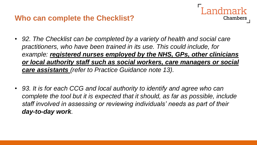

- *92. The Checklist can be completed by a variety of health and social care practitioners, who have been trained in its use. This could include, for example: registered nurses employed by the NHS, GPs, other clinicians or local authority staff such as social workers, care managers or social care assistants (refer to Practice Guidance note 13).*
- *93. It is for each CCG and local authority to identify and agree who can complete the tool but it is expected that it should, as far as possible, include staff involved in assessing or reviewing individuals' needs as part of their day-to-day work.*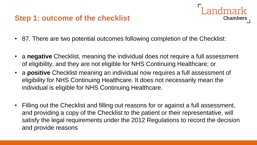#### **Step 1: outcome of the checklist**



• a **negative** Checklist, meaning the individual does not require a full assessment of eligibility, and they are not eligible for NHS Continuing Healthcare; or

andmark

- a **positive** Checklist meaning an individual now requires a full assessment of eligibility for NHS Continuing Healthcare. It does not necessarily mean the individual is eligible for NHS Continuing Healthcare.
- Filling out the Checklist and filling out reasons for or against a full assessment, and providing a copy of the Checklist to the patient or their representative, will satisfy the legal requirements under the 2012 Regulations to record the decision and provide reasons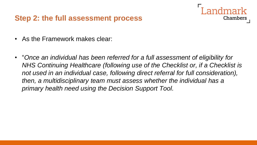#### **Step 2: the full assessment process**

- As the Framework makes clear:
- "Once an individual has been referred for a full assessment of eligibility for *NHS Continuing Healthcare (following use of the Checklist or, if a Checklist is not used in an individual case, following direct referral for full consideration), then, a multidisciplinary team must assess whether the individual has a primary health need using the Decision Support Tool*.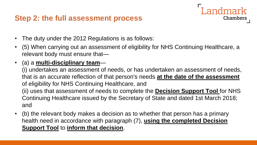#### **Step 2: the full assessment process**

- The duty under the 2012 Regulations is as follows:
- (5) When carrying out an assessment of eligibility for NHS Continuing Healthcare, a relevant body must ensure that—

andmark

**Chambers** 

• (a) a **multi-disciplinary team**—

(i) undertakes an assessment of needs, or has undertaken an assessment of needs, that is an accurate reflection of that person's needs **at the date of the assessment**  of eligibility for NHS Continuing Healthcare, and (ii) uses that assessment of needs to complete the **Decision Support Tool** for NHS Continuing Healthcare issued by the Secretary of State and dated 1st March 2018; and

• (b) the relevant body makes a decision as to whether that person has a primary health need in accordance with paragraph (7), **using the completed Decision Support Tool** to **inform that decision**.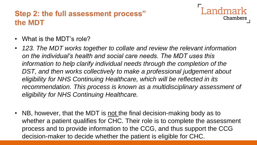## **Step 2: the full assessment process" the MDT**



- What is the MDT's role?
- *123. The MDT works together to collate and review the relevant information on the individual's health and social care needs. The MDT uses this*  information to help clarify individual needs through the completion of the DST, and then works collectively to make a professional judgement about *eligibility for NHS Continuing Healthcare, which will be reflected in its*  recommendation. This process is known as a multidisciplinary assessment of *eligibility for NHS Continuing Healthcare.*
- NB, however, that the MDT is not the final decision-making body as to whether a patient qualifies for CHC. Their role is to complete the assessment process and to provide information to the CCG, and thus support the CCG decision-maker to decide whether the patient is eligible for CHC.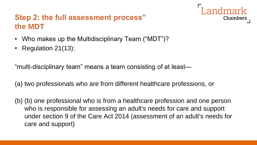## **Step 2: the full assessment process" the MDT**



- Who makes up the Multidisciplinary Team ("MDT")?
- Regulation 21(13):

"multi-disciplinary team" means a team consisting of at least—

(a) two professionals who are from different healthcare professions, or

(b) (b) one professional who is from a healthcare profession and one person who is responsible for assessing an adult's needs for care and support under section 9 of the Care Act 2014 (assessment of an adult's needs for care and support)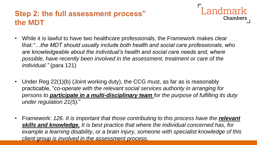## **Step 2: the full assessment process" the MDT**

- **Landmark** Chambers
- While it is lawful to have two healthcare professionals, the Framework makes clear that:*"…the MDT should usually include both health and social care professionals, who*  are knowledgeable about the individual's health and social care needs and, where *possible, have recently been involved in the assessment, treatment or care of the individual."* (para 121)
- Under Reg 22(1)(b) (Joint working duty), the CCG must, as far as is reasonably practicable, "*co-operate with the relevant social services authority in arranging for persons to participate in a multi-disciplinary team for the purpose of fulfilling its duty under regulation 21(5).*"
- Framework: 126. It is important that those contributing to this process have the **relevant** *skills and knowledge. It is best practice that where the individual concerned has, for example a learning disability, or a brain injury, someone with specialist knowledge of this client group is involved in the assessment process.*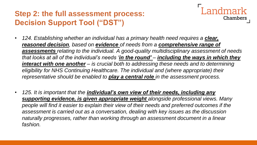

- *124. Establishing whether an individual has a primary health need requires a clear, reasoned decision, based on evidence of needs from a comprehensive range of assessments relating to the individual. A good-quality multidisciplinary assessment of needs that looks at all of the individual's needs 'in the round' – including the ways in which they interact with one another – is crucial both to addressing these needs and to determining eligibility for NHS Continuing Healthcare. The individual and (where appropriate) their representative should be enabled to play a central role in the assessment process.*
- *125. It is important that the individual's own view of their needs, including any supporting evidence, is given appropriate weight alongside professional views. Many people will find it easier to explain their view of their needs and preferred outcomes if the assessment is carried out as a conversation, dealing with key issues as the discussion naturally progresses, rather than working through an assessment document in a linear fashion.*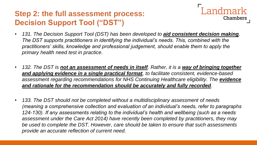- ndmark Chambers
- 131. The Decision Support Tool (DST) has been developed to **aid consistent decision making**. *The DST supports practitioners in identifying the individual's needs. This, combined with the practitioners' skills, knowledge and professional judgement, should enable them to apply the primary health need test in practice.*
- *132. The DST is not an assessment of needs in itself. Rather, it is a way of bringing together and applying evidence in a single practical format, to facilitate consistent, evidence-based*  assessment regarding recommendations for NHS Continuing Healthcare eligibility. The evidence *and rationale for the recommendation should be accurately and fully recorded.*
- *133. The DST should not be completed without a multidisciplinary assessment of needs (meaning a comprehensive collection and evaluation of an individual's needs, refer to paragraphs 124-130). If any assessments relating to the individual's health and wellbeing (such as a needs assessment under the Care Act 2014) have recently been completed by practitioners, they may be used to complete the DST. However, care should be taken to ensure that such assessments provide an accurate reflection of current need.*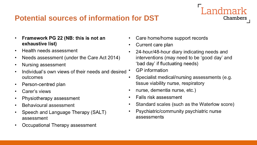#### **Potential sources of information for DST**

- Framework PG 22 (NB: this is not an  $\bullet$ exhaustive list)
- Health needs assessment  $\bullet$
- Needs assessment (under the Care Act 2014)  $\bullet$
- Nursing assessment  $\bullet$
- Individual's own views of their needs and desired  $\bullet$ outcomes
- Person-centred plan  $\bullet$
- Carer's views  $\bullet$
- Physiotherapy assessment  $\bullet$
- Behavioural assessment  $\bullet$
- Speech and Language Therapy (SALT)  $\bullet$ assessment
- Occupational Therapy assessment  $\bullet$
- Care home/home support records  $\bullet$
- Current care plan  $\bullet$
- 24-hour/48-hour diary indicating needs and  $\bullet$ interventions (may need to be 'good day' and 'bad day' if fluctuating needs)

- **GP** information
- Specialist medical/nursing assessments (e.g.  $\bullet$ tissue viability nurse, respiratory
- nurse, dementia nurse, etc.)  $\bullet$
- Falls risk assessment  $\bullet$
- Standard scales (such as the Waterlow score)  $\bullet$
- Psychiatric/community psychiatric nurse  $\bullet$ assessments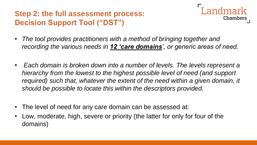

- *The tool provides practitioners with a method of bringing together and recording the various needs in 12 'care domains', or generic areas of need.*
- *Each domain is broken down into a number of levels. The levels represent a hierarchy from the lowest to the highest possible level of need (and support required)* such that, whatever the extent of the need within a given domain, it *should be possible to locate this within the descriptors provided.*
- The level of need for any care domain can be assessed at:
- Low, moderate, high, severe or priority (the latter for only for four of the domains)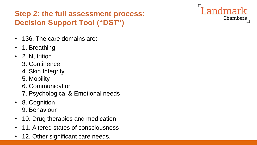- 136. The care domains are:
- 1. Breathing
- 2. Nutrition
	- 3. Continence
	- 4. Skin Integrity
	- 5. Mobility
	- 6. Communication
	- 7. Psychological & Emotional needs
- 8. Cognition 9. Behaviour
- 10. Drug therapies and medication
- 11. Altered states of consciousness
- 12. Other significant care needs.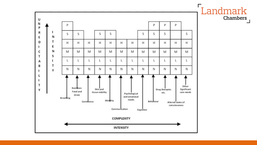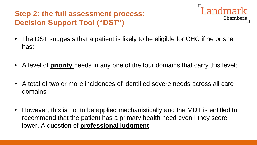

- The DST suggests that a patient is likely to be eligible for CHC if he or she has:
- A level of **priority** needs in any one of the four domains that carry this level;
- A total of two or more incidences of identified severe needs across all care domains
- However, this is not to be applied mechanistically and the MDT is entitled to recommend that the patient has a primary health need even I they score lower. A question of **professional judgment**.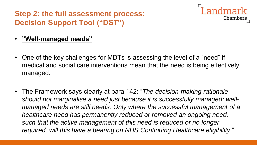

#### • **"Well-managed needs"**

- One of the key challenges for MDTs is assessing the level of a "need" if medical and social care interventions mean that the need is being effectively managed.
- The Framework says clearly at para 142: "*The decision-making rationale should not marginalise a need just because it is successfully managed: wellmanaged needs are still needs. Only where the successful management of a healthcare need has permanently reduced or removed an ongoing need, such that the active management of this need is reduced or no longer required, will this have a bearing on NHS Continuing Healthcare eligibility*."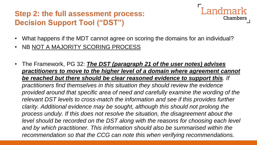

- What happens if the MDT cannot agree on scoring the domains for an individual?
- NB NOT A MAJORITY SCORING PROCESS
- The Framework, PG 32: *The DST (paragraph 21 of the user notes) advises practitioners to move to the higher level of a domain where agreement cannot be reached but there should be clear reasoned evidence to support this. If practitioners find themselves in this situation they should review the evidence provided around that specific area of need and carefully examine the wording of the relevant DST levels to cross-match the information and see if this provides further clarity. Additional evidence may be sought, although this should not prolong the process unduly. If this does not resolve the situation, the disagreement about the*  level should be recorded on the DST along with the reasons for choosing each level and by which practitioner. This information should also be summarised within the *recommendation so that the CCG can note this when verifying recommendations.*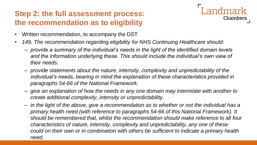## **Step 2: the full assessment process: the recommendation as to eligibility**



- Written recommendation, to accompany the DST
- *149. The recommendation regarding eligibility for NHS Continuing Healthcare should:* 
	- *provide a summary of the individual's needs in the light of the identified domain levels*  and the information underlying these. This should include the individual's own view of *their needs.*
	- *provide statements about the nature, intensity, complexity and unpredictability of the individual's needs, bearing in mind the explanation of these characteristics provided in paragraphs 54-66 of the National Framework.*
	- *give an explanation of how the needs in any one domain may interrelate with another to create additional complexity, intensity or unpredictability.*
	- *in the light of the above, give a recommendation as to whether or not the individual has a primary health need (with reference to paragraphs 54-66 of this National Framework). It should be remembered that, whilst the recommendation should make reference to all four characteristics of nature, intensity, complexity and unpredictability, any one of these could on their own or in combination with others be sufficient to indicate a primary health need.*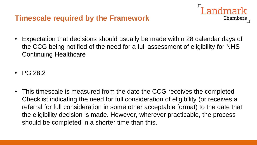#### **Timescale required by the Framework**

• Expectation that decisions should usually be made within 28 calendar days of the CCG being notified of the need for a full assessment of eligibility for NHS Continuing Healthcare

andmark

- PG 28.2
- This timescale is measured from the date the CCG receives the completed Checklist indicating the need for full consideration of eligibility (or receives a referral for full consideration in some other acceptable format) to the date that the eligibility decision is made. However, wherever practicable, the process should be completed in a shorter time than this.